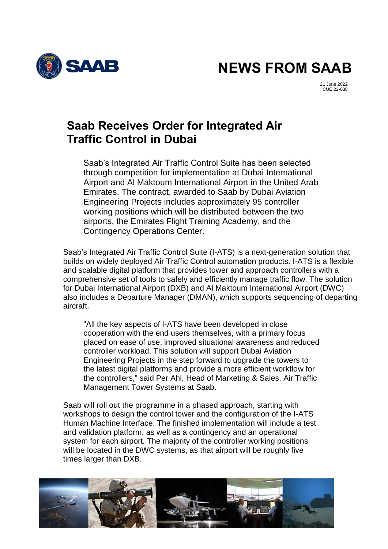

**NEWS FROM SAAB**

21 June 2022 CUE 22-038

## **Saab Receives Order for Integrated Air Traffic Control in Dubai**

Saab's Integrated Air Traffic Control Suite has been selected through competition for implementation at Dubai International Airport and Al Maktoum International Airport in the United Arab Emirates. The contract, awarded to Saab by Dubai Aviation Engineering Projects includes approximately 95 controller working positions which will be distributed between the two airports, the Emirates Flight Training Academy, and the Contingency Operations Center.

Saab's Integrated Air Traffic Control Suite (I-ATS) is a next-generation solution that builds on widely deployed Air Traffic Control automation products. I-ATS is a flexible and scalable digital platform that provides tower and approach controllers with a comprehensive set of tools to safely and efficiently manage traffic flow. The solution for Dubai International Airport (DXB) and Al Maktoum International Airport (DWC) also includes a Departure Manager (DMAN), which supports sequencing of departing aircraft.

"All the key aspects of I-ATS have been developed in close cooperation with the end users themselves, with a primary focus placed on ease of use, improved situational awareness and reduced controller workload. This solution will support Dubai Aviation Engineering Projects in the step forward to upgrade the towers to the latest digital platforms and provide a more efficient workflow for the controllers," said Per Ahl, Head of Marketing & Sales, Air Traffic Management Tower Systems at Saab.

Saab will roll out the programme in a phased approach, starting with workshops to design the control tower and the configuration of the I-ATS Human Machine Interface. The finished implementation will include a test and validation platform, as well as a contingency and an operational system for each airport. The majority of the controller working positions will be located in the DWC systems, as that airport will be roughly five times larger than DXB.